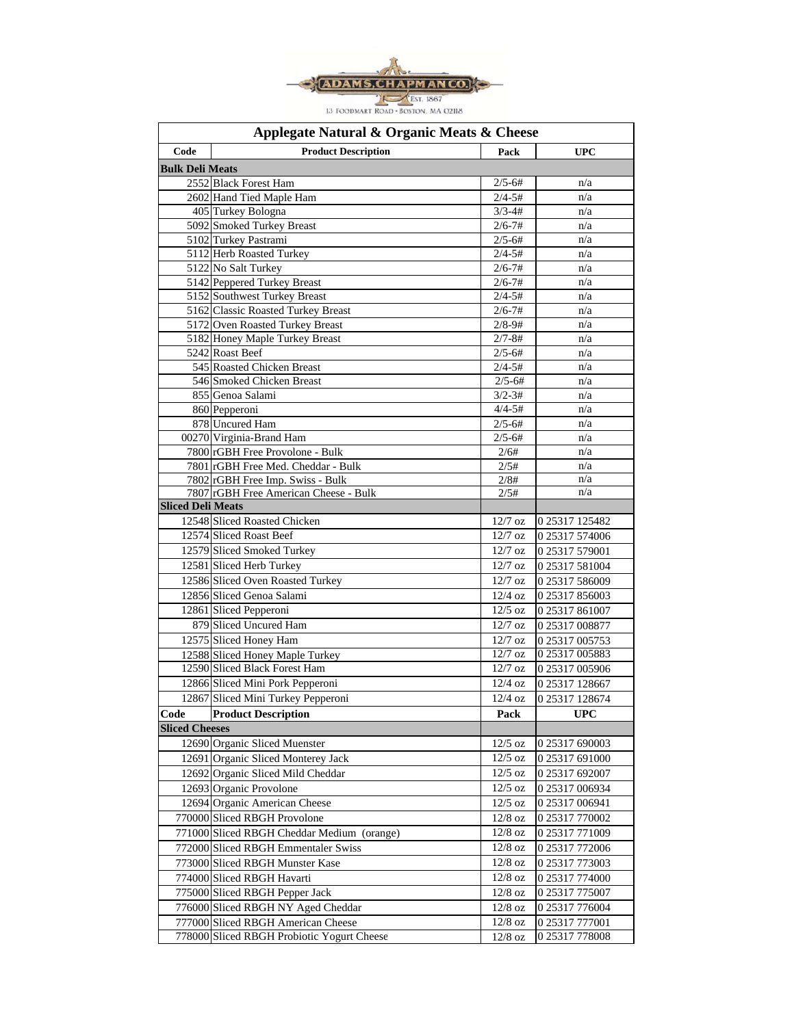

| Applegate Natural & Organic Meats & Cheese |                                                                           |                      |                |  |  |
|--------------------------------------------|---------------------------------------------------------------------------|----------------------|----------------|--|--|
| Code                                       | <b>Product Description</b>                                                | Pack                 | <b>UPC</b>     |  |  |
| <b>Bulk Deli Meats</b>                     |                                                                           |                      |                |  |  |
|                                            | 2552 Black Forest Ham                                                     | $2/5 - 6#$           | n/a            |  |  |
|                                            | 2602 Hand Tied Maple Ham                                                  | $2/4 - 5#$           | n/a            |  |  |
|                                            | 405 Turkey Bologna                                                        | $3/3 - 4#$           | n/a            |  |  |
|                                            | 5092 Smoked Turkey Breast                                                 | $2/6 - 7#$           | n/a            |  |  |
|                                            | 5102 Turkey Pastrami                                                      | $2/5 - 6#$           | n/a            |  |  |
|                                            | 5112 Herb Roasted Turkey                                                  | $2/4 - 5#$           | n/a            |  |  |
|                                            | 5122 No Salt Turkey                                                       | $2/6 - 7#$           | n/a            |  |  |
|                                            | 5142 Peppered Turkey Breast                                               | $2/6 - 7#$           | n/a            |  |  |
|                                            | 5152 Southwest Turkey Breast                                              | $2/4 - 5#$           | n/a            |  |  |
|                                            | 5162 Classic Roasted Turkey Breast                                        | $2/6 - 7#$           | n/a            |  |  |
|                                            | 5172 Oven Roasted Turkey Breast                                           | $2/8 - 9#$           | n/a            |  |  |
|                                            | 5182 Honey Maple Turkey Breast                                            | $2/7 - 8#$           | n/a            |  |  |
|                                            | 5242 Roast Beef                                                           | $2/5 - 6#$           | n/a            |  |  |
|                                            | 545 Roasted Chicken Breast                                                | $2/4 - 5#$           | n/a            |  |  |
|                                            | 546 Smoked Chicken Breast                                                 | $2/5 - 6#$           | n/a            |  |  |
|                                            | 855 Genoa Salami                                                          | $3/2 - 3#$           | n/a            |  |  |
|                                            | 860 Pepperoni                                                             | $4/4 - 5#$           | n/a            |  |  |
|                                            | 878 Uncured Ham                                                           | $2/5 - 6#$           | n/a            |  |  |
|                                            | 00270 Virginia-Brand Ham                                                  | $2/5 - 6#$           | n/a            |  |  |
|                                            | 7800 rGBH Free Provolone - Bulk                                           | 2/6#                 | n/a            |  |  |
|                                            | 7801 rGBH Free Med. Cheddar - Bulk                                        | 2/5#                 | n/a<br>n/a     |  |  |
|                                            | 7802 rGBH Free Imp. Swiss - Bulk<br>7807 rGBH Free American Cheese - Bulk | 2/8#<br>2/5#         | n/a            |  |  |
| <b>Sliced Deli Meats</b>                   |                                                                           |                      |                |  |  |
|                                            | 12548 Sliced Roasted Chicken                                              | 12/7 oz              | 0 25317 125482 |  |  |
|                                            | 12574 Sliced Roast Beef                                                   | $12/7$ oz            | 0 25317 574006 |  |  |
|                                            | 12579 Sliced Smoked Turkey                                                | $12/7$ oz            | 0 25317 579001 |  |  |
|                                            | 12581 Sliced Herb Turkey                                                  | $12/7$ oz            | 0 25317 581004 |  |  |
|                                            | 12586 Sliced Oven Roasted Turkey                                          | $12/7$ oz            | 0 25317 586009 |  |  |
|                                            | 12856 Sliced Genoa Salami                                                 | $12/4$ oz            | 0 25317 856003 |  |  |
|                                            | 12861 Sliced Pepperoni                                                    | $12/5$ oz            | 0 25317 861007 |  |  |
|                                            | 879 Sliced Uncured Ham                                                    | $12/7$ oz            | 0 25317 008877 |  |  |
|                                            | 12575 Sliced Honey Ham                                                    | $12/7$ oz            | 0 25317 005753 |  |  |
|                                            | 12588 Sliced Honey Maple Turkey                                           | $12/7$ oz            | 0 25317 005883 |  |  |
|                                            | 12590 Sliced Black Forest Ham                                             | $\overline{12/7}$ oz | 0 25317 005906 |  |  |
|                                            | 12866 Sliced Mini Pork Pepperoni                                          | $12/4$ oz            | 0 25317 128667 |  |  |
|                                            | 12867 Sliced Mini Turkey Pepperoni                                        | $12/4$ oz            | 0 25317 128674 |  |  |
| Code                                       | <b>Product Description</b>                                                | Pack                 | <b>UPC</b>     |  |  |
| <b>Sliced Cheeses</b>                      |                                                                           |                      |                |  |  |
|                                            | 12690 Organic Sliced Muenster                                             | $12/5$ oz            | 0 25317 690003 |  |  |
|                                            | 12691 Organic Sliced Monterey Jack                                        | $12/5$ oz            | 0 25317 691000 |  |  |
|                                            | 12692 Organic Sliced Mild Cheddar                                         | $12/5$ oz            | 0 25317 692007 |  |  |
|                                            | 12693 Organic Provolone                                                   | $12/5$ oz            | 0 25317 006934 |  |  |
|                                            | 12694 Organic American Cheese                                             | $12/5$ oz            | 0 25317 006941 |  |  |
|                                            | 770000 Sliced RBGH Provolone                                              | $12/8$ oz            | 0 25317 770002 |  |  |
|                                            | 771000 Sliced RBGH Cheddar Medium (orange)                                |                      |                |  |  |
|                                            |                                                                           | $12/8$ oz            | 0 25317 771009 |  |  |
|                                            | 772000 Sliced RBGH Emmentaler Swiss                                       | $12/8$ oz            | 0 25317 772006 |  |  |
|                                            | 773000 Sliced RBGH Munster Kase                                           | $12/8$ oz            | 0 25317 773003 |  |  |
|                                            | 774000 Sliced RBGH Havarti                                                | $12/8$ oz            | 0 25317 774000 |  |  |
|                                            | 775000 Sliced RBGH Pepper Jack                                            | $12/8$ oz            | 0 25317 775007 |  |  |
|                                            | 776000 Sliced RBGH NY Aged Cheddar                                        | $12/8$ oz            | 0 25317 776004 |  |  |
|                                            | 777000 Sliced RBGH American Cheese                                        | $12/8$ oz            | 0 25317 777001 |  |  |
|                                            | 778000 Sliced RBGH Probiotic Yogurt Cheese                                | $12/8~\mathrm{oz}$   | 0 25317 778008 |  |  |